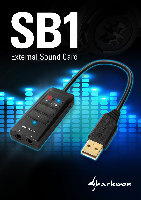# 

## External Sound Card

y<br>harkeen

 $\Omega$ 

**ED** 

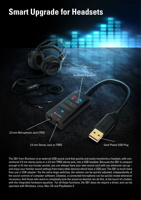### **Smart Upgrade for Headsets**

Hardware Equalizer

3.5 mm Microphone Jack (TRS)

3.5 mm Stereo Jack or TRRS

Gold-Plated USB Plug

The SB1 from Sharkoon is an external USB sound card that quickly and easily transforms a headset, with conventional 3.5 mm stereo jacks or a 3.5 mm TRRS stereo jack, into a USB headset. Because the SB1 is compact enough to fit into any trouser pocket, you can always have your own sound card with you wherever you go – and enjoy your familiar sound settings from many other devices which have a USB port. The SB1 is much more than just a USB adapter: Via the extra-large switches, the volume can be quickly adjusted, independently of the sound controls of computer software. Likewise, a connected microphone can be quickly muted whenever necessary. And those who want to completely tune the sound as desired can do this, at the touch of a button, with the integrated hardware equalizer. For all these functions, the SB1 does not require a driver, and can be operated with Windows, Linux, Mac OS and PlayStation 4.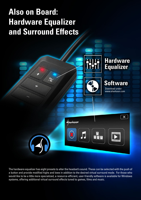### **Also on Board: Hardware Equalizer and Surround Effects**

EQ<br>So

 $\overline{\mathbf{x}}$ 





Download under: www.sharkoon.com



The hardware equalizer has eight presets to alter the headset's sound. These can be selected with the push of a button and provide modified highs and lows in addition to the desired virtual surround mode. For those who would like to be a little more specialized, a resource-efficient, user-friendly software is available for Windows systems, offering additional virtual surround effects tuned to games, films and music.